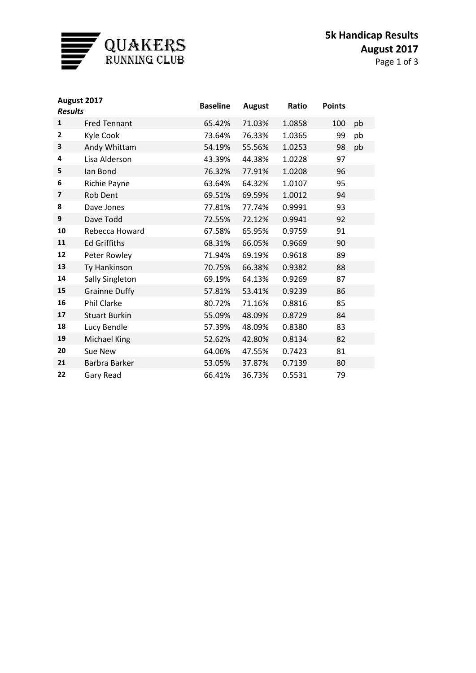

| August 2017<br><b>Results</b> |                      | <b>Baseline</b> | <b>August</b> | Ratio  | <b>Points</b> |    |
|-------------------------------|----------------------|-----------------|---------------|--------|---------------|----|
| $\mathbf{1}$                  | <b>Fred Tennant</b>  | 65.42%          | 71.03%        | 1.0858 | 100           | pb |
| $\overline{2}$                | Kyle Cook            | 73.64%          | 76.33%        | 1.0365 | 99            | pb |
| 3                             | Andy Whittam         | 54.19%          | 55.56%        | 1.0253 | 98            | pb |
| 4                             | Lisa Alderson        | 43.39%          | 44.38%        | 1.0228 | 97            |    |
| 5                             | lan Bond             | 76.32%          | 77.91%        | 1.0208 | 96            |    |
| 6                             | <b>Richie Payne</b>  | 63.64%          | 64.32%        | 1.0107 | 95            |    |
| $\overline{\phantom{a}}$      | <b>Rob Dent</b>      | 69.51%          | 69.59%        | 1.0012 | 94            |    |
| 8                             | Dave Jones           | 77.81%          | 77.74%        | 0.9991 | 93            |    |
| 9                             | Dave Todd            | 72.55%          | 72.12%        | 0.9941 | 92            |    |
| 10                            | Rebecca Howard       | 67.58%          | 65.95%        | 0.9759 | 91            |    |
| 11                            | <b>Ed Griffiths</b>  | 68.31%          | 66.05%        | 0.9669 | 90            |    |
| 12                            | Peter Rowley         | 71.94%          | 69.19%        | 0.9618 | 89            |    |
| 13                            | Ty Hankinson         | 70.75%          | 66.38%        | 0.9382 | 88            |    |
| 14                            | Sally Singleton      | 69.19%          | 64.13%        | 0.9269 | 87            |    |
| 15                            | <b>Grainne Duffy</b> | 57.81%          | 53.41%        | 0.9239 | 86            |    |
| 16                            | <b>Phil Clarke</b>   | 80.72%          | 71.16%        | 0.8816 | 85            |    |
| 17                            | <b>Stuart Burkin</b> | 55.09%          | 48.09%        | 0.8729 | 84            |    |
| 18                            | Lucy Bendle          | 57.39%          | 48.09%        | 0.8380 | 83            |    |
| 19                            | <b>Michael King</b>  | 52.62%          | 42.80%        | 0.8134 | 82            |    |
| 20                            | Sue New              | 64.06%          | 47.55%        | 0.7423 | 81            |    |
| 21                            | Barbra Barker        | 53.05%          | 37.87%        | 0.7139 | 80            |    |
| 22                            | Gary Read            | 66.41%          | 36.73%        | 0.5531 | 79            |    |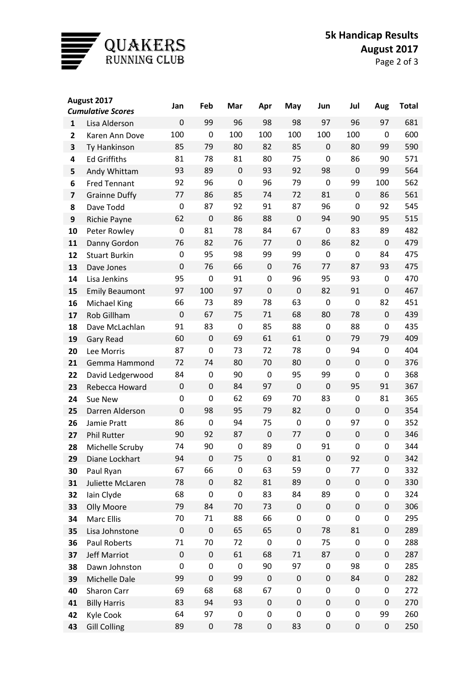

| August 2017              |                       | Jan         | Feb         | Mar              | Apr         | May         | Jun              | Jul       | Aug         | <b>Total</b> |
|--------------------------|-----------------------|-------------|-------------|------------------|-------------|-------------|------------------|-----------|-------------|--------------|
| <b>Cumulative Scores</b> |                       |             |             |                  |             |             |                  |           |             |              |
| $\mathbf{1}$             | Lisa Alderson         | $\mathbf 0$ | 99          | 96               | 98          | 98          | 97               | 96        | 97          | 681          |
| 2                        | Karen Ann Dove        | 100         | 0           | 100              | 100         | 100         | 100              | 100       | 0           | 600          |
| 3                        | Ty Hankinson          | 85          | 79          | 80               | 82          | 85          | $\mathbf 0$      | 80        | 99          | 590          |
| 4                        | <b>Ed Griffiths</b>   | 81          | 78          | 81               | 80          | 75          | 0                | 86        | 90          | 571          |
| 5                        | Andy Whittam          | 93          | 89          | $\mathbf 0$      | 93          | 92          | 98               | 0         | 99          | 564          |
| 6                        | <b>Fred Tennant</b>   | 92          | 96          | $\mathbf 0$      | 96          | 79          | 0                | 99        | 100         | 562          |
| $\overline{\mathbf{z}}$  | <b>Grainne Duffy</b>  | 77          | 86          | 85               | 74          | 72          | 81               | 0         | 86          | 561          |
| 8                        | Dave Todd             | 0           | 87          | 92               | 91          | 87          | 96               | 0         | 92          | 545          |
| 9                        | <b>Richie Payne</b>   | 62          | $\mathbf 0$ | 86               | 88          | $\mathbf 0$ | 94               | 90        | 95          | 515          |
| 10                       | Peter Rowley          | 0           | 81          | 78               | 84          | 67          | 0                | 83        | 89          | 482          |
| 11                       | Danny Gordon          | 76          | 82          | 76               | 77          | $\mathbf 0$ | 86               | 82        | $\mathbf 0$ | 479          |
| 12                       | <b>Stuart Burkin</b>  | 0           | 95          | 98               | 99          | 99          | 0                | 0         | 84          | 475          |
| 13                       | Dave Jones            | $\mathbf 0$ | 76          | 66               | $\mathbf 0$ | 76          | 77               | 87        | 93          | 475          |
| 14                       | Lisa Jenkins          | 95          | $\mathbf 0$ | 91               | 0           | 96          | 95               | 93        | 0           | 470          |
| 15                       | <b>Emily Beaumont</b> | 97          | 100         | 97               | $\mathbf 0$ | $\mathbf 0$ | 82               | 91        | 0           | 467          |
| 16                       | <b>Michael King</b>   | 66          | 73          | 89               | 78          | 63          | 0                | 0         | 82          | 451          |
| 17                       | Rob Gillham           | $\mathbf 0$ | 67          | 75               | 71          | 68          | 80               | 78        | 0           | 439          |
| 18                       | Dave McLachlan        | 91          | 83          | 0                | 85          | 88          | 0                | 88        | 0           | 435          |
| 19                       | <b>Gary Read</b>      | 60          | $\mathbf 0$ | 69               | 61          | 61          | 0                | 79        | 79          | 409          |
| 20                       | Lee Morris            | 87          | $\mathbf 0$ | 73               | 72          | 78          | 0                | 94        | 0           | 404          |
| 21                       | Gemma Hammond         | 72          | 74          | 80               | 70          | 80          | 0                | 0         | 0           | 376          |
| 22                       | David Ledgerwood      | 84          | 0           | 90               | 0           | 95          | 99               | 0         | 0           | 368          |
| 23                       | Rebecca Howard        | $\mathbf 0$ | $\mathbf 0$ | 84               | 97          | $\mathbf 0$ | $\mathbf 0$      | 95        | 91          | 367          |
| 24                       | Sue New               | 0           | 0           | 62               | 69          | 70          | 83               | 0         | 81          | 365          |
| 25                       | Darren Alderson       | $\mathbf 0$ | 98          | 95               | 79          | 82          | 0                | 0         | 0           | 354          |
| 26                       | Jamie Pratt           | 86          | 0           | 94               | 75          | 0           | 0                | 97        | 0           | 352          |
| 27                       | <b>Phil Rutter</b>    | 90          | 92          | 87               | $\mathbf 0$ | 77          | $\boldsymbol{0}$ | 0         | 0           | 346          |
| 28                       | Michelle Scruby       | 74          | 90          | 0                | 89          | 0           | 91               | 0         | 0           | 344          |
| 29                       | Diane Lockhart        | 94          | $\pmb{0}$   | 75               | 0           | 81          | 0                | 92        | 0           | 342          |
| 30                       | Paul Ryan             | 67          | 66          | 0                | 63          | 59          | 0                | 77        | 0           | 332          |
| 31                       | Juliette McLaren      | 78          | $\pmb{0}$   | 82               | 81          | 89          | $\pmb{0}$        | $\pmb{0}$ | 0           | 330          |
| 32                       | Iain Clyde            | 68          | 0           | $\mathbf 0$      | 83          | 84          | 89               | 0         | 0           | 324          |
| 33                       | Olly Moore            | 79          | 84          | 70               | 73          | $\pmb{0}$   | 0                | 0         | 0           | 306          |
| 34                       | Marc Ellis            | 70          | 71          | 88               | 66          | 0           | 0                | 0         | 0           | 295          |
| 35                       | Lisa Johnstone        | $\pmb{0}$   | $\pmb{0}$   | 65               | 65          | $\pmb{0}$   | 78               | 81        | 0           | 289          |
| 36                       | Paul Roberts          | 71          | 70          | 72               | 0           | 0           | 75               | 0         | 0           | 288          |
| 37                       | <b>Jeff Marriot</b>   | $\pmb{0}$   | $\pmb{0}$   | 61               | 68          | 71          | 87               | 0         | 0           | 287          |
| 38                       | Dawn Johnston         | 0           | 0           | $\boldsymbol{0}$ | 90          | 97          | 0                | 98        | 0           | 285          |
| 39                       | Michelle Dale         | 99          | $\pmb{0}$   | 99               | $\pmb{0}$   | $\pmb{0}$   | 0                | 84        | 0           | 282          |
| 40                       | Sharon Carr           | 69          | 68          | 68               | 67          | 0           | 0                | 0         | 0           | 272          |
| 41                       | <b>Billy Harris</b>   | 83          | 94          | 93               | 0           | $\pmb{0}$   | 0                | 0         | 0           | 270          |
| 42                       | Kyle Cook             | 64          | 97          | 0                | 0           | 0           | 0                | 0         | 99          | 260          |
| 43                       | <b>Gill Colling</b>   | 89          | $\pmb{0}$   | 78               | 0           | 83          | 0                | 0         | 0           | 250          |